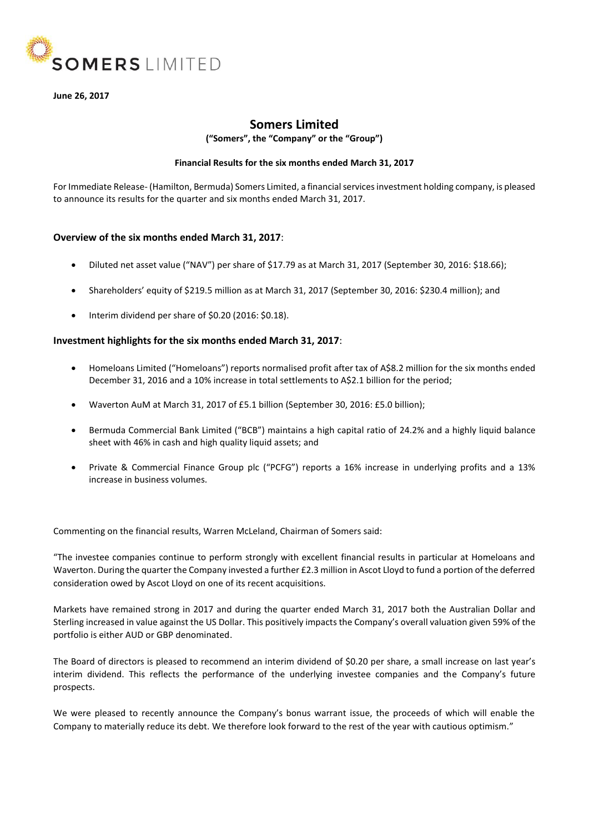

## **June 26, 2017**

# **Somers Limited**

**("Somers", the "Company" or the "Group")**

## **Financial Results for the six months ended March 31, 2017**

For Immediate Release- (Hamilton, Bermuda) Somers Limited, a financial services investment holding company, is pleased to announce its results for the quarter and six months ended March 31, 2017.

# **Overview of the six months ended March 31, 2017**:

- Diluted net asset value ("NAV") per share of \$17.79 as at March 31, 2017 (September 30, 2016: \$18.66);
- Shareholders' equity of \$219.5 million as at March 31, 2017 (September 30, 2016: \$230.4 million); and
- Interim dividend per share of \$0.20 (2016: \$0.18).

# **Investment highlights for the six months ended March 31, 2017**:

- Homeloans Limited ("Homeloans") reports normalised profit after tax of A\$8.2 million for the six months ended December 31, 2016 and a 10% increase in total settlements to A\$2.1 billion for the period;
- Waverton AuM at March 31, 2017 of £5.1 billion (September 30, 2016: £5.0 billion);
- Bermuda Commercial Bank Limited ("BCB") maintains a high capital ratio of 24.2% and a highly liquid balance sheet with 46% in cash and high quality liquid assets; and
- Private & Commercial Finance Group plc ("PCFG") reports a 16% increase in underlying profits and a 13% increase in business volumes.

Commenting on the financial results, Warren McLeland, Chairman of Somers said:

"The investee companies continue to perform strongly with excellent financial results in particular at Homeloans and Waverton. During the quarter the Company invested a further £2.3 million in Ascot Lloyd to fund a portion of the deferred consideration owed by Ascot Lloyd on one of its recent acquisitions.

Markets have remained strong in 2017 and during the quarter ended March 31, 2017 both the Australian Dollar and Sterling increased in value against the US Dollar. This positively impacts the Company's overall valuation given 59% of the portfolio is either AUD or GBP denominated.

The Board of directors is pleased to recommend an interim dividend of \$0.20 per share, a small increase on last year's interim dividend. This reflects the performance of the underlying investee companies and the Company's future prospects.

We were pleased to recently announce the Company's bonus warrant issue, the proceeds of which will enable the Company to materially reduce its debt. We therefore look forward to the rest of the year with cautious optimism."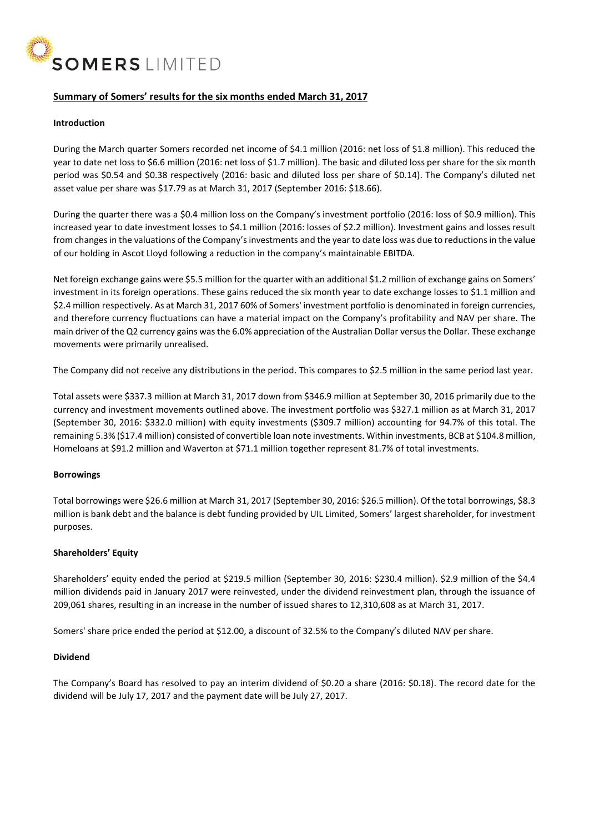

# **Summary of Somers' results for the six months ended March 31, 2017**

## **Introduction**

During the March quarter Somers recorded net income of \$4.1 million (2016: net loss of \$1.8 million). This reduced the year to date net loss to \$6.6 million (2016: net loss of \$1.7 million). The basic and diluted loss per share for the six month period was \$0.54 and \$0.38 respectively (2016: basic and diluted loss per share of \$0.14). The Company's diluted net asset value per share was \$17.79 as at March 31, 2017 (September 2016: \$18.66).

During the quarter there was a \$0.4 million loss on the Company's investment portfolio (2016: loss of \$0.9 million). This increased year to date investment losses to \$4.1 million (2016: losses of \$2.2 million). Investment gains and losses result from changes in the valuations of the Company's investments and the year to date loss was due to reductions in the value of our holding in Ascot Lloyd following a reduction in the company's maintainable EBITDA.

Net foreign exchange gains were \$5.5 million for the quarter with an additional \$1.2 million of exchange gains on Somers' investment in its foreign operations. These gains reduced the six month year to date exchange losses to \$1.1 million and \$2.4 million respectively. As at March 31, 2017 60% of Somers' investment portfolio is denominated in foreign currencies, and therefore currency fluctuations can have a material impact on the Company's profitability and NAV per share. The main driver of the Q2 currency gains was the 6.0% appreciation of the Australian Dollar versus the Dollar. These exchange movements were primarily unrealised.

The Company did not receive any distributions in the period. This compares to \$2.5 million in the same period last year.

Total assets were \$337.3 million at March 31, 2017 down from \$346.9 million at September 30, 2016 primarily due to the currency and investment movements outlined above. The investment portfolio was \$327.1 million as at March 31, 2017 (September 30, 2016: \$332.0 million) with equity investments (\$309.7 million) accounting for 94.7% of this total. The remaining 5.3% (\$17.4 million) consisted of convertible loan note investments. Within investments, BCB at \$104.8 million, Homeloans at \$91.2 million and Waverton at \$71.1 million together represent 81.7% of total investments.

#### **Borrowings**

Total borrowings were \$26.6 million at March 31, 2017 (September 30, 2016: \$26.5 million). Of the total borrowings, \$8.3 million is bank debt and the balance is debt funding provided by UIL Limited, Somers' largest shareholder, for investment purposes.

# **Shareholders' Equity**

Shareholders' equity ended the period at \$219.5 million (September 30, 2016: \$230.4 million). \$2.9 million of the \$4.4 million dividends paid in January 2017 were reinvested, under the dividend reinvestment plan, through the issuance of 209,061 shares, resulting in an increase in the number of issued shares to 12,310,608 as at March 31, 2017.

Somers' share price ended the period at \$12.00, a discount of 32.5% to the Company's diluted NAV per share.

#### **Dividend**

The Company's Board has resolved to pay an interim dividend of \$0.20 a share (2016: \$0.18). The record date for the dividend will be July 17, 2017 and the payment date will be July 27, 2017.